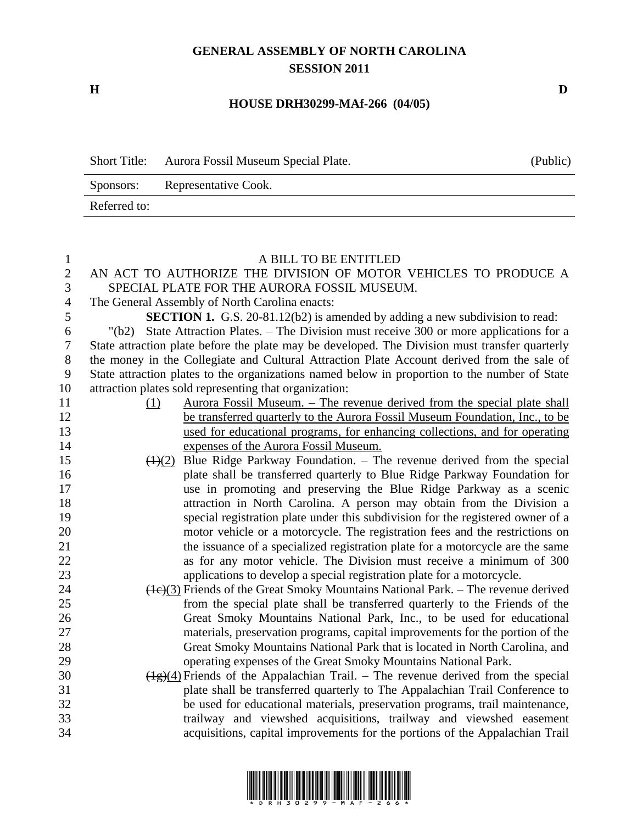## **GENERAL ASSEMBLY OF NORTH CAROLINA SESSION 2011**

**H D**

## **HOUSE DRH30299-MAf-266 (04/05)**

| <b>Short Title:</b> | Aurora Fossil Museum Special Plate. | (Public) |
|---------------------|-------------------------------------|----------|
| Sponsors:           | Representative Cook.                |          |
| Referred to:        |                                     |          |

## A BILL TO BE ENTITLED

 AN ACT TO AUTHORIZE THE DIVISION OF MOTOR VEHICLES TO PRODUCE A SPECIAL PLATE FOR THE AURORA FOSSIL MUSEUM.

The General Assembly of North Carolina enacts:

**SECTION 1.** G.S. 20-81.12(b2) is amended by adding a new subdivision to read:

 "(b2) State Attraction Plates. – The Division must receive 300 or more applications for a State attraction plate before the plate may be developed. The Division must transfer quarterly the money in the Collegiate and Cultural Attraction Plate Account derived from the sale of State attraction plates to the organizations named below in proportion to the number of State attraction plates sold representing that organization:

- (1) Aurora Fossil Museum. The revenue derived from the special plate shall 12 be transferred quarterly to the Aurora Fossil Museum Foundation, Inc., to be used for educational programs, for enhancing collections, and for operating expenses of the Aurora Fossil Museum.
- 15 (1)(2) Blue Ridge Parkway Foundation. The revenue derived from the special plate shall be transferred quarterly to Blue Ridge Parkway Foundation for use in promoting and preserving the Blue Ridge Parkway as a scenic attraction in North Carolina. A person may obtain from the Division a special registration plate under this subdivision for the registered owner of a motor vehicle or a motorcycle. The registration fees and the restrictions on the issuance of a specialized registration plate for a motorcycle are the same as for any motor vehicle. The Division must receive a minimum of 300 applications to develop a special registration plate for a motorcycle.
- (1c)(3) Friends of the Great Smoky Mountains National Park. The revenue derived from the special plate shall be transferred quarterly to the Friends of the Great Smoky Mountains National Park, Inc., to be used for educational materials, preservation programs, capital improvements for the portion of the Great Smoky Mountains National Park that is located in North Carolina, and operating expenses of the Great Smoky Mountains National Park.
- 30  $(\frac{1}{2})(4)$  Friends of the Appalachian Trail. The revenue derived from the special plate shall be transferred quarterly to The Appalachian Trail Conference to be used for educational materials, preservation programs, trail maintenance, trailway and viewshed acquisitions, trailway and viewshed easement acquisitions, capital improvements for the portions of the Appalachian Trail